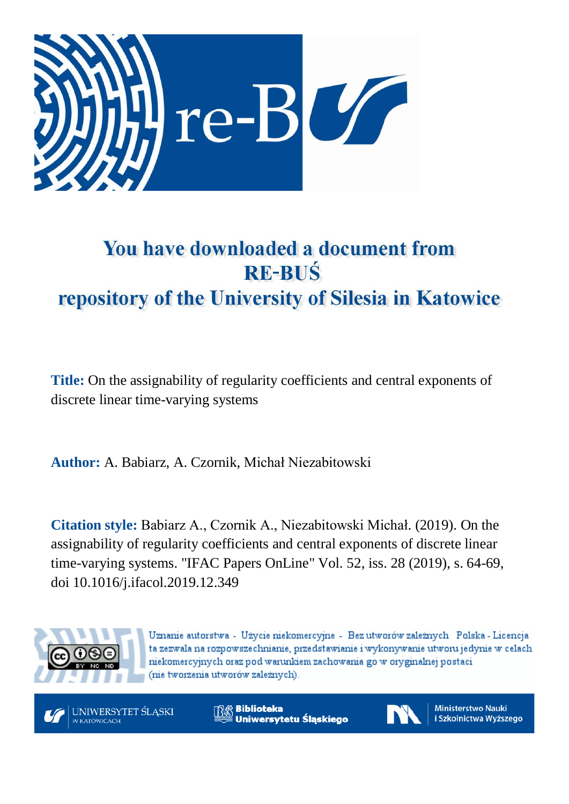

# You have downloaded a document from **RE-BUS** repository of the University of Silesia in Katowice

**Title:** On the assignability of regularity coefficients and central exponents of discrete linear time-varying systems

**Author:** A. Babiarz, A. Czornik, Michał Niezabitowski

**Citation style:** Babiarz A., Czornik A., Niezabitowski Michał. (2019). On the assignability of regularity coefficients and central exponents of discrete linear time-varying systems. "IFAC Papers OnLine" Vol. 52, iss. 28 (2019), s. 64-69, doi 10.1016/j.ifacol.2019.12.349



Uznanie autorstwa - Użycie niekomercyjne - Bez utworów zależnych Polska - Licencja ta zezwala na rozpowszechnianie, przedstawianie i wykonywanie utworu jedynie w celach niekomercyjnych oraz pod warunkiem zachowania go w oryginalnej postaci (nie tworzenia utworów zależnych).



**Biblioteka** Uniwersytetu Śląskiego



**Ministerstwo Nauki** i Szkolnictwa Wyższego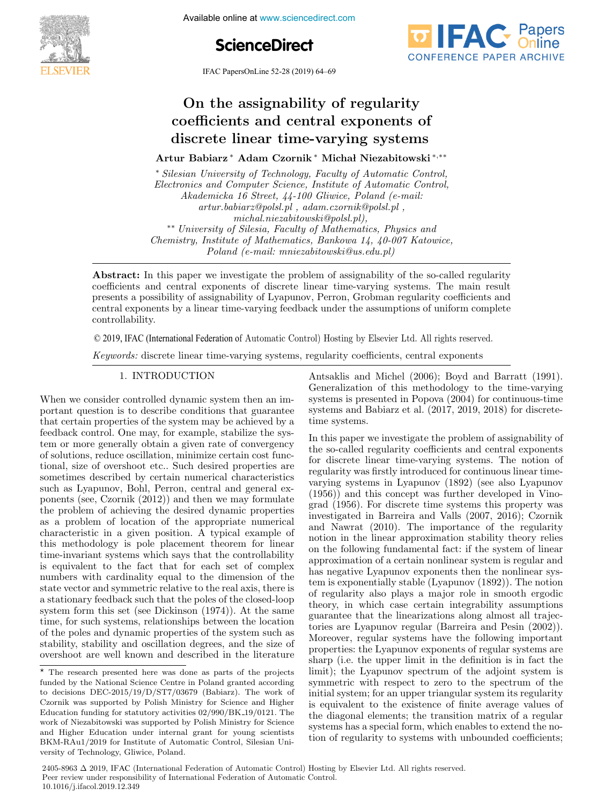

Available online at www.sciencedirect.com

## **ScienceDirect**



IFAC PapersOnLine 52-28 (2019) 64–69

#### On the assignability of regularity On the assignability of regularity coemcients and central exponents of On the assignability of regularity coefficients and central exponents of discrete linear time-varying systems and Care and Time-Adam Canada ∗ William On the assignability of regularity On the assignability of regularity coefficients and central exponents of coefficients and central exponents of discrete linear time-varying systems discrete linear time-varying systems

Artur Babiarz\* Adam Czornik\* Michał Niezabitowski\*,\*\* Artur Babiarz <sup>∗</sup> Adam Czornik <sup>∗</sup> Micha
l Niezabitowski <sup>∗</sup>,∗∗

∗ Silesian University of Technology, Faculty of Automatic Control, ∗ Silesian University of Technology, Faculty of Automatic Control, ∗ Silesian University of Technology, Faculty of Automatic Control, Electronics and Computer Science, Institute of Automatic Control, *Electronics and Computer Science, Institute of Automatic Control,*<br>Akademicka 16 Street, 44-100 Gliwice, Poland (e-mail: artur.babiarz@polsl.pl, adam.czornik@polsl.pl, michal.niezabitowski@polsl.pl), michal.niezabitowski@polsl.pl), <sup>\*\*</sup> University of Silesia, Faculty of Mathematics, Physics and Chemistry, Institute of Mathematics, Bankowa 14, 40-007 Katowice, Poland (e-mail: mniezabitowski@us.edu.pl)  $P$  bianta (e-mail: miniezabitowskie wska $P$ Poland (e-mail: mniezabitowski@us.edu.pl) Poland (e-mail: mniezabitowski@us.edu.pl) Chemistry, Institute of Mathematics, Bankowa 14, 40-007 Katowice, Chemistry, Institute of Mathematics, Bankowa 14, 40-007 Katowice,  $\alpha$ Electronics and Computer Science,  $\alpha$ <sup>1</sup> and  $\alpha$ <sup>1</sup> and  $\alpha$ <sup>1</sup> and  $\alpha$ <sup>1</sup> and  $\alpha$ <sup>1</sup> and  $\alpha$ <sup>1</sup> michal.niezabitowskiego bitowskiego za polskich zabitowskiego za zabitowskiego za<br>1. planou bitowskiego bitowskiego bitowskiego bitowskiego bitowskiego bitowskiego bitowskiego bitowskiego bito

coefficients and central exponents of discrete linear time-varying systems. The main result coemcients and central exponents of discrete linear time-varying systems. The main result<br>presents a possibility of assignability of Lyapunov, Perron, Grobman regularity coefficients and presents a possibility of assignability of Lyapunov, Perron, Grobinal regularity coefficients and  $\alpha$ central exponents by a linear time-varying feedback under the assumptions of uniform complete controllability controllability. Abstract: In this paper we investigate the problem of assignability of the so-called regularity presents a possibility of assignability of Lyapunov, Perron, Grobman regularity coefficients and Poland (e-mail: mniezabitowski@us.edu.pl) central exponents by a linear time-varying feedback under the assumptions of uniform complete  $\mathcal{L}$ 

Poland (e-mail: mniezabitowski@us.edu.pl)

© 2019, IFAC (International Federation of Automatic Control) Hosting by Elsevier Ltd. All rights reserved.  $\in$  2017,  $\pi$  regularity and regularity systems coefficients, regularity coefficients, central exponents, coefficients, coefficients,  $\pi$  $\odot$  2019, IFAC (In

Keywords: discrete linear time-varying systems, regularity coefficients, central exponents Keywords: discrete linear time-varying systems, regularity coefficients, central exponents

### 1. INTRODUCTION 1. INTRODUCTION 1. INTRODUCTION 1. INTRODUCTION 1. INTRODUCTION

When we consider controlled dynamic system then an im-When we consider controlled dynamic system then an im-When we consider controlled dynamic system then an important question is to describe conditions that guarantee portant question is to describe conditions that guarantee<br>that certain properties of the system may be achieved by a<br>footback central. One may for example, stabilize the sys feedback control. One may, for example, stabilize the systecturate control. One may, for example, stabilize the sys-<br>tem or more generally obtain a given rate of convergency of solutions, reduce oscillation, minimize certain cost funcor solutions, reque oscination, imminize eet tain cost func-<br>tional, size of overshoot etc.. Such desired properties are sometimes described by certain numerical characteristics sometimes described by certain numerical dialacteristics<br>such as Lyapunov, Bohl, Perron, central and general exponents (see, Czornik (2012)) and then we may formulate the problem of achieving the desired dynamic properties ponents (see, Czornik (2012)) and then we may formulate as a problem of location of the appropriate numerical characteristic in a given position. A typical example of this methodology is pole placement theorem for linear time-invariant systems which says that the controllability inter-invariant systems which says that the controllability<br>is equivalent to the fact that for each set of complex numbers with cardinality equal to the dimension of the state vector and symmetric relative to the unlession of the a stationary feedback such that the poles of the closed-loop a stationary recuback such that the poles of the closed-hopp<br>system form this set (see Dickinson (1974)). At the same system form this set (see Dickinson  $(1974)$ ). At the same<br>time, for such systems, relationships between the location of the poles and dynamic properties of the system such as or the poles and dynamic properties of the system such as<br>stability, stability and oscillation degrees, and the size of stability, stability and oscillation degrees, and the size of overshoot are well known and described in the literature the problem of desired dynamic properties overshoot are well known and described in the literature the problem of achieving the desired dynamic properties the problem of achieving the desired dynamic properties ponents (see, Czornik (2012)) and then we may formulate ponents (see, Czornik (2012)) and then we may formulate stability, stability and oscillation degrees, and the size of overshoot are well known and described in the literature overshoot are well known and described in the literature<br>———————————————————— Antsaklis and Michel (2006); Boyd and Barratt (1991). Antsaklis and Michel (2006); Boyd and Barratt (1991). Antsaklis and Michel (2006); Boyd and Barratt (1991). Generalization of this methodology to the time-varying systems is presented in Popova (2004) for continuous-time systems is presented in 1 opova (2004) for continuous-time<br>systems and Babiarz et al. (2017, 2019, 2018) for discretetime systems. time systems. systems and Babiarz et al. (2017, 2019, 2018) for discretesystems is presented in Popova  $(2004)$  for continuous-time<br>systems and Babiarz et al.  $(2017, 2019, 2018)$  for discretetime systems. time systems. time systems. systems and Babiarz et al. (2017, 2019, 2018) for discretesystems and Babiarz et al. (2017, 2019, 2018) for discrete-<br>time systems

In this paper we investigate the problem of assignability of In this paper we investigate the problem of assignability of<br>the so-called regularity coefficients and central exponents for discrete linear time-varying systems. The notion of regularity was firstly introduced for continuous linear timeregularity was instry introduced for committees infear time-<br>varying systems in Lyapunov (1892) (see also Lyapunov  $(1956)$ ) and this concept was further developed in Vino- $(\text{1550})$  and this concept was further developed in vind-<br>grad  $(1956)$ . For discrete time systems this property was investigated in Barreira and Valls (2007, 2016); Czornik investigated in Bartena and valis (2007, 2010), C201<br>and Nawrat (2010). The importance of the regularity<br>notion in the linear approximation stability theory relies notion in the linear approximation stability theory relies on the following fundamental fact: if the system of linear<br>approximation of a certain poplinear system is pecular and on the following rundamental fact. If the system of inteat-<br>approximation of a certain nonlinear system is regular and has negative Lyapunov exponents then the nonlinear system the integrative Lyapunov exponents then the hominear sys-<br>tem is exponentially stable (Lyapunov (1892)). The notion of regularity also plays a major role in smooth ergodic of regularity also plays a major role in smooth eigence eneby, in which case certain integrability assumptions<br>guarantee that the linearizations along almost all trajecguarantee that the internations along almost an trajec-<br>tories are Lyapunov regular (Barreira and Pesin (2002)). Moreover, regular systems have the following important properties: the Lyapunov exponents of regular systems are properties. the Lyapunov exponents of regular systems are<br>sharp (i.e. the upper limit in the definition is in fact the limit); the Lyapunov spectrum of the adjoint system is symmetric with respect to zero to the spectrum of the is a symmetric with respect to zero to the spectrum of the<br>initial system; for an upper triangular system its regularity<br>is acquired at the cristenes of finite systems where of initial system, for an upper triangular system its regularity<br>is equivalent to the existence of finite average values of the diagonal elements; the transition matrix of a regular systems has a special form, which enables to extend the nosystems has a special form, which enables to extend the no-<br>tion of regularity to systems with unbounded coefficients; tion of regularity to systems with unbounded coefficients, systems has a special form, which enables to extend the no-<br>tion of regularity to systems with unbounded coefficients; tion of regularity to systems with unbounded coefficients;

 $\star$  The research presented here was done as parts of the projects  $f_{\text{t}}$  and  $g_{\text{t}}$  and  $g_{\text{t}}$  and  $g_{\text{t}}$  and  $g_{\text{t}}$  and  $g_{\text{t}}$  and  $g_{\text{t}}$  and  $g_{\text{t}}$  and  $g_{\text{t}}$  and  $g_{\text{t}}$  and  $g_{\text{t}}$  and The research presented here was done as parts of the projects<br>funded by the National Science Centre in Poland granted according to decisions DEC-2015/19/D/ST7/03679 (Babiarz). The work of funded by the National Science Centre in Poland granted according to decisions DEC-2015/19/D/ST7/03679 (Babiarz). The work of Czornik was supported by Polish Ministry for Science and Higher Education funding for statutory activities 02/990/BK\_19/0121. The Equivalent funding for statutory activities 02/330/BK.13/0121. The<br>work of Niezabitowski was supported by Polish Ministry for Science<br>and Higher Education under internal grant for young scientists and Higher Education under internal grant for young scientists BKM-RAu1/2019 for Institute of Automatic Control, Silesian Uni-BITM-RATUL/2019 for Institute of Hatomatic Control, Sheshart Officers versity of Technology, Gliwice, Poland. versity of Technology, Gliwice, Poland.  $\overline{\text{F}}$  research presented here was done as parts of the presented here  $\overline{\text{F}}$  $\overline{\star}$  The research presented here was done as parts of the projects to decisions DEC-2015/19/D/ST7/03679 (Babiarz). The work of versity of Technology, Gliwice, Poland. versity of Technology, Gliwice, Poland. BKM-RAu1/2019 for Institute of Automatic Control, Silesian Uni-BKM-RAu1/2019 for Institute of Automatic Control, Silesian University of Technology, Gliwice, Poland.

<sup>2405-8963</sup>  $\Delta$  2019, IFAC (International Federation of Automatic Control) Hosting by Elsevier Ltd. All rights reserved. Peer review under responsibility of International Federation of Automatic Control. 10.1016/j.ifacol.2019.12.349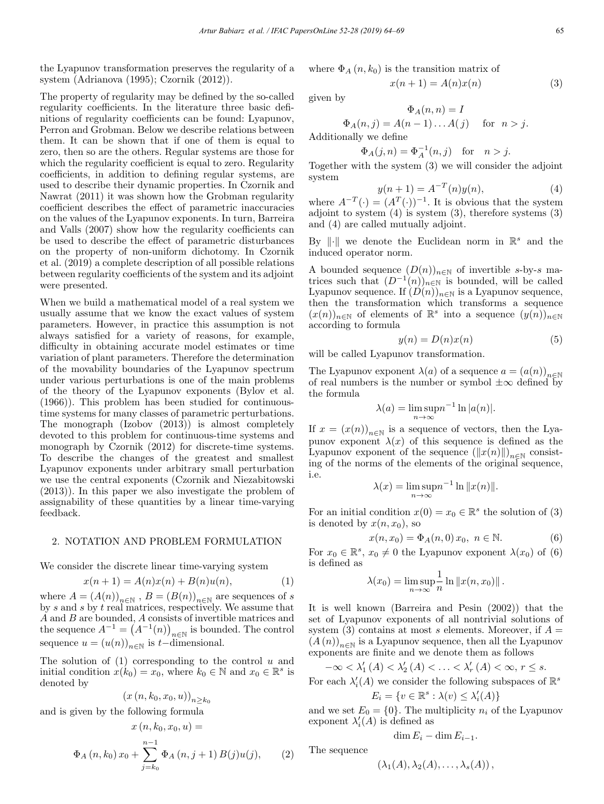the Lyapunov transformation preserves the regularity of a system (Adrianova (1995); Czornik (2012)).

The property of regularity may be defined by the so-called regularity coefficients. In the literature three basic definitions of regularity coefficients can be found: Lyapunov, Perron and Grobman. Below we describe relations between them. It can be shown that if one of them is equal to zero, then so are the others. Regular systems are those for which the regularity coefficient is equal to zero. Regularity coefficients, in addition to defining regular systems, are used to describe their dynamic properties. In Czornik and Nawrat (2011) it was shown how the Grobman regularity coefficient describes the effect of parametric inaccuracies on the values of the Lyapunov exponents. In turn, Barreira and Valls (2007) show how the regularity coefficients can be used to describe the effect of parametric disturbances on the property of non-uniform dichotomy. In Czornik et al. (2019) a complete description of all possible relations between regularity coefficients of the system and its adjoint were presented.

When we build a mathematical model of a real system we usually assume that we know the exact values of system parameters. However, in practice this assumption is not always satisfied for a variety of reasons, for example, difficulty in obtaining accurate model estimates or time variation of plant parameters. Therefore the determination of the movability boundaries of the Lyapunov spectrum under various perturbations is one of the main problems of the theory of the Lyapunov exponents (Bylov et al. (1966)). This problem has been studied for continuoustime systems for many classes of parametric perturbations. The monograph (Izobov (2013)) is almost completely devoted to this problem for continuous-time systems and monograph by Czornik (2012) for discrete-time systems. To describe the changes of the greatest and smallest Lyapunov exponents under arbitrary small perturbation we use the central exponents (Czornik and Niezabitowski (2013)). In this paper we also investigate the problem of assignability of these quantities by a linear time-varying feedback.

#### 2. NOTATION AND PROBLEM FORMULATION

We consider the discrete linear time-varying system

$$
x(n + 1) = A(n)x(n) + B(n)u(n),
$$
 (1)

where  $A = (A(n))_{n \in \mathbb{N}}$ ,  $B = (B(n))_{n \in \mathbb{N}}$  are sequences of s by s and s by t real matrices, respectively. We assume that A and B are bounded, A consists of invertible matrices and the sequence  $A^{-1} = (A^{-1}(n))_{n \in \mathbb{N}}$  is bounded. The control sequence  $u = (u(n))_{n \in \mathbb{N}}$  is  $t$ -dimensional.

The solution of  $(1)$  corresponding to the control u and initial condition  $x(k_0) = x_0$ , where  $k_0 \in \mathbb{N}$  and  $x_0 \in \mathbb{R}^s$  is denoted by

$$
(x(n, k_0, x_0, u))_{n \geq k_0}
$$

and is given by the following formula

$$
x(n, k_0, x_0, u) =
$$
  

$$
\Phi_A(n, k_0) x_0 + \sum_{j=k_0}^{n-1} \Phi_A(n, j+1) B(j) u(j),
$$
 (2)

where 
$$
\Phi_A(n, k_0)
$$
 is the transition matrix of

$$
x(n+1) = A(n)x(n)
$$
\n(3)

given by

$$
\Phi_A(n, n) = I
$$
  
\n
$$
\Phi_A(n, j) = A(n - 1) \dots A(j) \quad \text{for } n > j.
$$
  
\nonally we define

Additionally we define

$$
\Phi_A(j, n) = \Phi_A^{-1}(n, j)
$$
 for  $n > j$ .

Together with the system (3) we will consider the adjoint system

$$
y(n+1) = A^{-T}(n)y(n),
$$
\n(4)

where  $A^{-T}(\cdot)=(A^{T}(\cdot))^{-1}$ . It is obvious that the system adjoint to system  $(4)$  is system  $(3)$ , therefore systems  $(3)$ and (4) are called mutually adjoint.

By  $\Vert \cdot \Vert$  we denote the Euclidean norm in  $\mathbb{R}^s$  and the induced operator norm.

A bounded sequence  $(D(n))_{n\in\mathbb{N}}$  of invertible s-by-s matrices such that  $(D^{-1}(n))_{n\in\mathbb{N}}$  is bounded, will be called Lyapunov sequence. If  $(D(n))_{n\in\mathbb{N}}$  is a Lyapunov sequence, then the transformation which transforms a sequence  $(x(n))_{n\in\mathbb{N}}$  of elements of  $\mathbb{R}^s$  into a sequence  $(y(n))_{n\in\mathbb{N}}$ according to formula

$$
y(n) = D(n)x(n) \tag{5}
$$

will be called Lyapunov transformation.

The Lyapunov exponent  $\lambda(a)$  of a sequence  $a = (a(n))_{n \in \mathbb{N}}$ of real numbers is the number or symbol  $\pm\infty$  defined by the formula

$$
\lambda(a) = \limsup_{n \to \infty} n^{-1} \ln |a(n)|.
$$

If  $x = (x(n))_{n \in \mathbb{N}}$  is a sequence of vectors, then the Lyapunov exponent  $\lambda(x)$  of this sequence is defined as the Lyapunov exponent of the sequence  $(\|x(n)\|)_{n\in\mathbb{N}}$  consisting of the norms of the elements of the original sequence, i.e.

$$
\lambda(x) = \limsup_{n \to \infty} n^{-1} \ln \|x(n)\|.
$$

For an initial condition  $x(0) = x_0 \in \mathbb{R}^s$  the solution of (3) is denoted by  $x(n, x_0)$ , so

$$
x(n, x_0) = \Phi_A(n, 0) \, x_0, \ n \in \mathbb{N}.
$$
 (6)

For  $x_0 \in \mathbb{R}^s$ ,  $x_0 \neq 0$  the Lyapunov exponent  $\lambda(x_0)$  of (6) is defined as

$$
\lambda(x_0) = \limsup_{n \to \infty} \frac{1}{n} \ln \|x(n, x_0)\|.
$$

It is well known (Barreira and Pesin (2002)) that the set of Lyapunov exponents of all nontrivial solutions of system (3) contains at most s elements. Moreover, if  $A =$  $(A(n))_{n\in\mathbb{N}}$  is a Lyapunov sequence, then all the Lyapunov exponents are finite and we denote them as follows

$$
-\infty < \lambda_1'(A) < \lambda_2'(A) < \ldots < \lambda_r'(A) < \infty, \, r \leq s.
$$

For each  $\lambda_i'(A)$  we consider the following subspaces of  $\mathbb{R}^s$ 

$$
E_i = \{ v \in \mathbb{R}^s : \lambda(v) \le \lambda_i'(A) \}
$$

and we set  $E_0 = \{0\}$ . The multiplicity  $n_i$  of the Lyapunov exponent  $\lambda_i'(A)$  is defined as

$$
\dim E_i - \dim E_{i-1}.
$$

The sequence

$$
(\lambda_1(A), \lambda_2(A), \ldots, \lambda_s(A)),
$$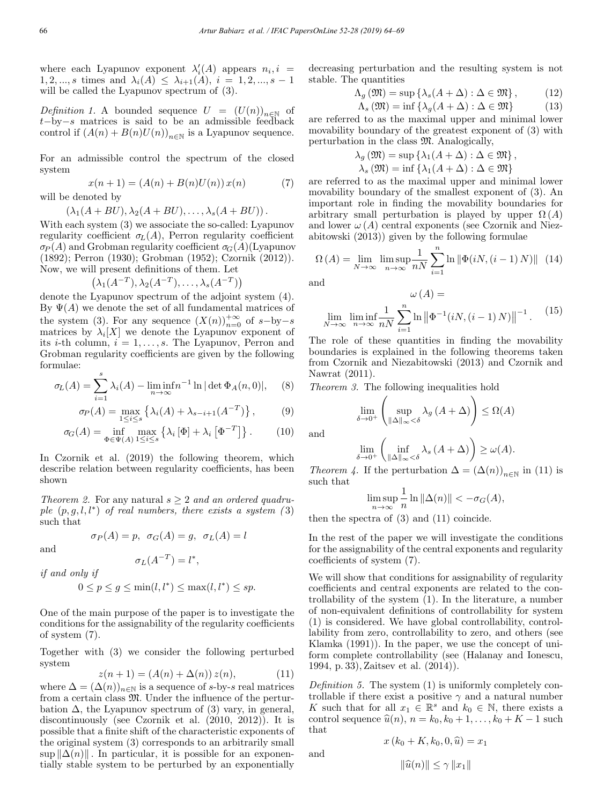where each Lyapunov exponent  $\lambda_i'(A)$  appears  $n_i, i =$ 1, 2, ..., s times and  $\lambda_i(A) \leq \lambda_{i+1}(A), i = 1, 2, ..., s - 1$ will be called the Lyapunov spectrum of (3).

Definition 1. A bounded sequence  $U = (U(n))_{n \in \mathbb{N}}$  of  $t$ −by−s matrices is said to be an admissible feedback control if  $(A(n) + B(n)U(n))_{n \in \mathbb{N}}$  is a Lyapunov sequence.

For an admissible control the spectrum of the closed system

$$
x(n+1) = (A(n) + B(n)U(n)) x(n)
$$
 *(7)*   
will be denoted by

 $(\lambda_1(A + BU), \lambda_2(A + BU), \ldots, \lambda_s(A + BU)).$ 

With each system (3) we associate the so-called: Lyapunov regularity coefficient  $\sigma_L(A)$ , Perron regularity coefficient  $\sigma_P(A)$  and Grobman regularity coefficient  $\sigma_G(A)(L$ yapunov (1892); Perron (1930); Grobman (1952); Czornik (2012)). Now, we will present definitions of them. Let

$$
(\lambda_1(A^{-T}), \lambda_2(A^{-T}), \ldots, \lambda_s(A^{-T}))
$$

denote the Lyapunov spectrum of the adjoint system (4). By  $\Psi(A)$  we denote the set of all fundamental matrices of the system (3). For any sequence  $(X(n))_{n=0}^{+\infty}$  of s-by-s matrices by  $\lambda_i[X]$  we denote the Lyapunov exponent of its *i*-th column,  $i = 1, \ldots, s$ . The Lyapunov, Perron and Grobman regularity coefficients are given by the following formulae:

$$
\sigma_L(A) = \sum_{i=1}^s \lambda_i(A) - \liminf_{n \to \infty} n^{-1} \ln |\det \Phi_A(n, 0)|, \quad (8)
$$

$$
\sigma_P(A) = \max_{1 \le i \le s} \left\{ \lambda_i(A) + \lambda_{s-i+1}(A^{-T}) \right\},\tag{9}
$$

$$
\sigma_G(A) = \inf_{\Phi \in \Psi(A)} \max_{1 \le i \le s} \left\{ \lambda_i \left[ \Phi \right] + \lambda_i \left[ \Phi^{-T} \right] \right\}.
$$
 (10)

In Czornik et al. (2019) the following theorem, which describe relation between regularity coefficients, has been shown

Theorem 2. For any natural  $s \geq 2$  and an ordered quadruple  $(p, q, l, l^*)$  of real numbers, there exists a system  $(3)$ such that

$$
\sigma_P(A) = p, \ \sigma_G(A) = g, \ \sigma_L(A) = l
$$

and

$$
\sigma_L(A^{-T}) = l^*,
$$

if and only if

$$
0 \le p \le g \le \min(l, l^*) \le \max(l, l^*) \le sp.
$$

One of the main purpose of the paper is to investigate the conditions for the assignability of the regularity coefficients of system (7).

Together with (3) we consider the following perturbed system

$$
z(n+1) = (A(n) + \Delta(n)) z(n), \tag{11}
$$

where  $\Delta = (\Delta(n))_{n \in \mathbb{N}}$  is a sequence of s-by-s real matrices from a certain class M. Under the influence of the perturbation  $\Delta$ , the Lyapunov spectrum of (3) vary, in general, discontinuously (see Czornik et al. (2010, 2012)). It is possible that a finite shift of the characteristic exponents of the original system (3) corresponds to an arbitrarily small sup  $\|\Delta(n)\|$ . In particular, it is possible for an exponentially stable system to be perturbed by an exponentially

decreasing perturbation and the resulting system is not stable. The quantities

$$
\Lambda_g(\mathfrak{M}) = \sup \left\{ \lambda_s(A + \Delta) : \Delta \in \mathfrak{M} \right\},\qquad(12)
$$

$$
\Lambda_s \left( \mathfrak{M} \right) = \inf \left\{ \lambda_g \left( A + \Delta \right) : \Delta \in \mathfrak{M} \right\} \tag{13}
$$

are referred to as the maximal upper and minimal lower movability boundary of the greatest exponent of (3) with perturbation in the class M. Analogically,

$$
\lambda_g(\mathfrak{M}) = \sup \{ \lambda_1(A + \Delta) : \Delta \in \mathfrak{M} \},
$$
  

$$
\lambda_s(\mathfrak{M}) = \inf \{ \lambda_1(A + \Delta) : \Delta \in \mathfrak{M} \}
$$

are referred to as the maximal upper and minimal lower movability boundary of the smallest exponent of (3). An important role in finding the movability boundaries for arbitrary small perturbation is played by upper  $\Omega(A)$ and lower  $\omega(A)$  central exponents (see Czornik and Niezabitowski (2013)) given by the following formulae

$$
\Omega(A) = \lim_{N \to \infty} \limsup_{n \to \infty} \frac{1}{nN} \sum_{i=1}^{n} \ln \|\Phi(iN, (i-1)N)\| \quad (14)
$$

and

$$
\omega(A) = \lim_{N \to \infty} \liminf_{n \to \infty} \frac{1}{nN} \sum_{i=1}^{n} \ln \| \Phi^{-1}(iN, (i-1)N) \|^{-1}.
$$
 (15)

The role of these quantities in finding the movability boundaries is explained in the following theorems taken from Czornik and Niezabitowski (2013) and Czornik and Nawrat (2011).

Theorem 3. The following inequalities hold

$$
\lim_{\delta \to 0^+} \left( \sup_{\|\Delta\|_{\infty} < \delta} \lambda_g \left( A + \Delta \right) \right) \le \Omega(A)
$$

and

$$
\lim_{\delta \to 0^+} \left( \inf_{\|\Delta\|_{\infty} < \delta} \lambda_s \left( A + \Delta \right) \right) \ge \omega(A).
$$

Theorem 4. If the perturbation  $\Delta = (\Delta(n))_{n \in \mathbb{N}}$  in (11) is such that

$$
\limsup_{n \to \infty} \frac{1}{n} \ln \|\Delta(n)\| < -\sigma_G(A),
$$

then the spectra of (3) and (11) coincide.

In the rest of the paper we will investigate the conditions for the assignability of the central exponents and regularity coefficients of system (7).

We will show that conditions for assignability of regularity coefficients and central exponents are related to the controllability of the system (1). In the literature, a number of non-equivalent definitions of controllability for system (1) is considered. We have global controllability, controllability from zero, controllability to zero, and others (see Klamka (1991)). In the paper, we use the concept of uniform complete controllability (see (Halanay and Ionescu, 1994, p. 33), Zaitsev et al. (2014)).

Definition 5. The system  $(1)$  is uniformly completely controllable if there exist a positive  $\gamma$  and a natural number K such that for all  $x_1 \in \mathbb{R}^s$  and  $k_0 \in \mathbb{N}$ , there exists a control sequence  $\hat{u}(n)$ ,  $n = k_0, k_0 + 1, \ldots, k_0 + K - 1$  such that

and

$$
x(k_0 + K, k_0, 0, \widehat{u}) = x
$$

$$
\|\widehat{u}(n)\| \leq \gamma \|x_1\|
$$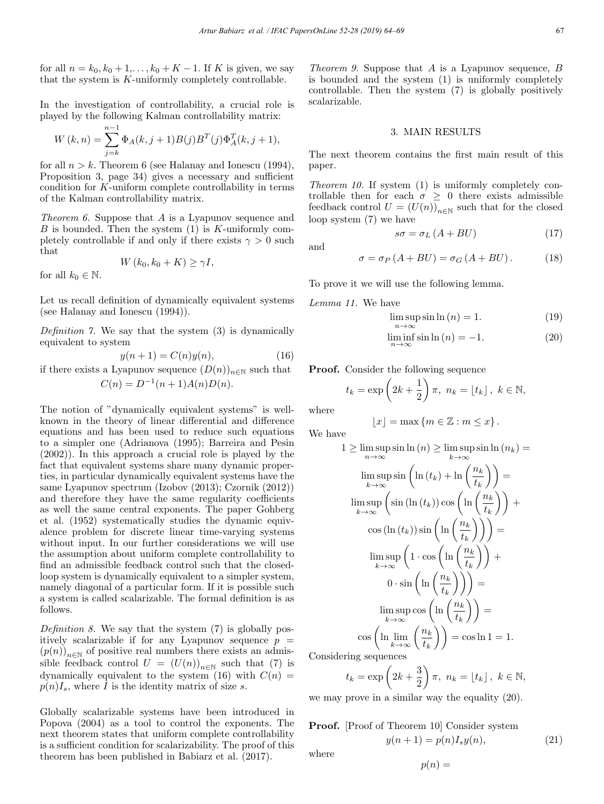for all  $n = k_0, k_0 + 1, \ldots, k_0 + K - 1$ . If K is given, we say that the system is K-uniformly completely controllable.

In the investigation of controllability, a crucial role is played by the following Kalman controllability matrix:

$$
W(k,n) = \sum_{j=k}^{n-1} \Phi_A(k,j+1)B(j)B^T(j)\Phi_A^T(k,j+1),
$$

for all  $n > k$ . Theorem 6 (see Halanay and Ionescu (1994), Proposition 3, page 34) gives a necessary and sufficient condition for K-uniform complete controllability in terms of the Kalman controllability matrix.

Theorem 6. Suppose that A is a Lyapunov sequence and B is bounded. Then the system  $(1)$  is K-uniformly completely controllable if and only if there exists  $\gamma > 0$  such that

$$
W(k_0, k_0 + K) \ge \gamma I,
$$

for all  $k_0 \in \mathbb{N}$ .

Let us recall definition of dynamically equivalent systems (see Halanay and Ionescu (1994)).

Definition 7. We say that the system  $(3)$  is dynamically equivalent to system

$$
y(n+1) = C(n)y(n),\tag{16}
$$

if there exists a Lyapunov sequence  $(D(n))_{n\in\mathbb{N}}$  such that

$$
C(n) = D^{-1}(n+1)A(n)D(n).
$$

The notion of "dynamically equivalent systems" is wellknown in the theory of linear differential and difference equations and has been used to reduce such equations to a simpler one (Adrianova (1995); Barreira and Pesin (2002)). In this approach a crucial role is played by the fact that equivalent systems share many dynamic properties, in particular dynamically equivalent systems have the same Lyapunov spectrum (Izobov (2013); Czornik (2012)) and therefore they have the same regularity coefficients as well the same central exponents. The paper Gohberg et al. (1952) systematically studies the dynamic equivalence problem for discrete linear time-varying systems without input. In our further considerations we will use the assumption about uniform complete controllability to find an admissible feedback control such that the closedloop system is dynamically equivalent to a simpler system, namely diagonal of a particular form. If it is possible such a system is called scalarizable. The formal definition is as follows.

Definition 8. We say that the system  $(7)$  is globally positively scalarizable if for any Lyapunov sequence  $p =$  $(p(n))_{n\in\mathbb{N}}$  of positive real numbers there exists an admissible feedback control  $U = (U(n))_{n \in \mathbb{N}}$  such that (7) is dynamically equivalent to the system (16) with  $C(n)$  =  $p(n)I_s$ , where I is the identity matrix of size s.

Globally scalarizable systems have been introduced in Popova (2004) as a tool to control the exponents. The next theorem states that uniform complete controllability is a sufficient condition for scalarizability. The proof of this theorem has been published in Babiarz et al. (2017).

*Theorem 9.* Suppose that  $A$  is a Lyapunov sequence,  $B$ is bounded and the system (1) is uniformly completely controllable. Then the system (7) is globally positively scalarizable.

#### 3. MAIN RESULTS

The next theorem contains the first main result of this paper.

Theorem 10. If system (1) is uniformly completely controllable then for each  $\sigma \geq 0$  there exists admissible feedback control  $U = (U(n))_{n \in \mathbb{N}}$  such that for the closed loop system (7) we have

and

$$
\sigma = \sigma_P (A + BU) = \sigma_G (A + BU). \tag{18}
$$

To prove it we will use the following lemma.

Lemma 11. We have

$$
\limsup_{n \to \infty} \sin \ln (n) = 1. \tag{19}
$$

 $s\sigma = \sigma_L (A + BU)$  (17)

$$
\liminf_{n \to \infty} \sin \ln (n) = -1. \tag{20}
$$

Proof. Consider the following sequence

$$
t_k = \exp\left(2k + \frac{1}{2}\right)\pi, \ n_k = \lfloor t_k \rfloor, \ k \in \mathbb{N},
$$

where

$$
\lfloor x \rfloor = \max \{ m \in \mathbb{Z} : m \le x \} .
$$

We have

$$
1 \geq \limsup_{n \to \infty} \sin \ln (n) \geq \limsup_{k \to \infty} \sin \ln (n_k) =
$$
  
\n
$$
\limsup_{k \to \infty} \sin \left( \ln (t_k) + \ln \left( \frac{n_k}{t_k} \right) \right) =
$$
  
\n
$$
\limsup_{k \to \infty} \left( \sin (\ln (t_k)) \cos \left( \ln \left( \frac{n_k}{t_k} \right) \right) +
$$
  
\n
$$
\cos (\ln (t_k)) \sin \left( \ln \left( \frac{n_k}{t_k} \right) \right) \right) =
$$
  
\n
$$
\limsup_{k \to \infty} \left( 1 \cdot \cos \left( \ln \left( \frac{n_k}{t_k} \right) \right) +
$$
  
\n
$$
0 \cdot \sin \left( \ln \left( \frac{n_k}{t_k} \right) \right) \right) =
$$
  
\n
$$
\limsup_{k \to \infty} \cos \left( \ln \left( \frac{n_k}{t_k} \right) \right) =
$$
  
\n
$$
\cos \left( \ln \lim_{k \to \infty} \left( \frac{n_k}{t_k} \right) \right) = \cos \ln 1 = 1.
$$

Considering sequences

$$
t_k = \exp\left(2k + \frac{3}{2}\right)\pi, \ n_k = \lfloor t_k \rfloor, \ k \in \mathbb{N},
$$

we may prove in a similar way the equality (20).

Proof. [Proof of Theorem 10] Consider system  $y(n+1) = p(n)I_s y(n),$  (21)

where

$$
p(n) =
$$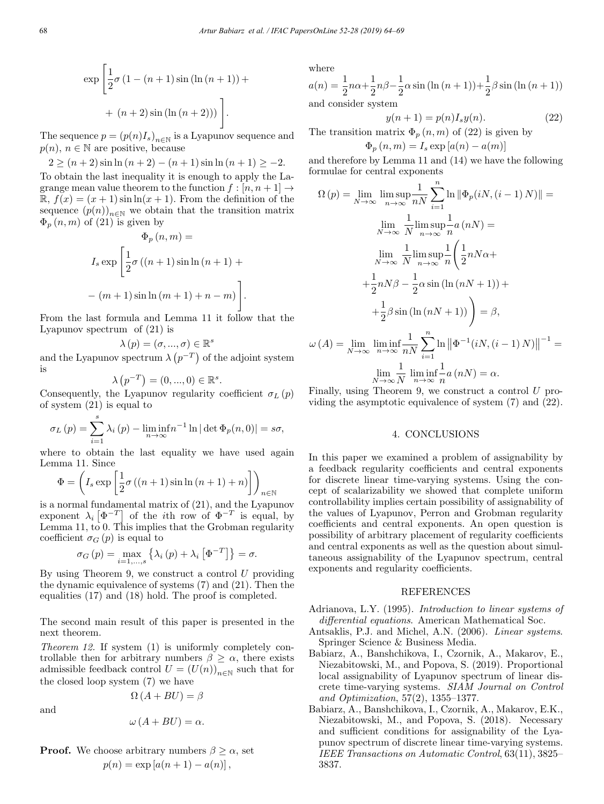$$
\exp \left[\frac{1}{2}\sigma (1 - (n+1)\sin (\ln (n+1)) + (n+2)\sin (\ln (n+2)))\right].
$$

The sequence  $p = (p(n)I_s)_{n \in \mathbb{N}}$  is a Lyapunov sequence and  $p(n), n \in \mathbb{N}$  are positive, because

 $2 \ge (n+2) \sin \ln (n+2) - (n+1) \sin \ln (n+1) \ge -2.$ 

To obtain the last inequality it is enough to apply the Lagrange mean value theorem to the function  $f : [n, n + 1] \rightarrow$  $\mathbb{R}, f(x)=(x + 1) \sin \ln(x + 1)$ . From the definition of the sequence  $(p(n))_{n\in\mathbb{N}}$  we obtain that the transition matrix  $\Phi_p(n,m)$  of (21) is given by

$$
\Phi_p(n,m) =
$$
  

$$
I_s \exp \left[\frac{1}{2}\sigma((n+1)\sin \ln(n+1)) + (- (m+1)\sin \ln(m+1)) + n - m)\right].
$$

From the last formula and Lemma 11 it follow that the Lyapunov spectrum of (21) is

$$
\lambda\left(p\right)=\left(\sigma,...,\sigma\right)\in\mathbb{R}^{s}
$$

and the Lyapunov spectrum  $\lambda (p^{-T})$  of the adjoint system is

$$
\lambda\left(p^{-T}\right) = (0, ..., 0) \in \mathbb{R}^s.
$$

Consequently, the Lyapunov regularity coefficient  $\sigma_L(p)$ of system (21) is equal to

$$
\sigma_L(p) = \sum_{i=1}^s \lambda_i(p) - \liminf_{n \to \infty} n^{-1} \ln |\det \Phi_p(n,0)| = s\sigma,
$$

where to obtain the last equality we have used again Lemma 11. Since

$$
\Phi = \left(I_s \exp\left[\frac{1}{2}\sigma((n+1)\sin\ln(n+1)+n)\right]\right)_{n\in\mathbb{N}}
$$

is a normal fundamental matrix of (21), and the Lyapunov exponent  $\lambda_i \left[ \Phi^{-T} \right]$  of the *i*th row of  $\Phi^{-T}$  is equal, by Lemma 11, to 0. This implies that the Grobman regularity coefficient  $\sigma_G(p)$  is equal to

$$
\sigma_G(p) = \max_{i=1,\ldots,s} \left\{ \lambda_i(p) + \lambda_i \left[ \Phi^{-T} \right] \right\} = \sigma.
$$

By using Theorem 9, we construct a control  $U$  providing the dynamic equivalence of systems (7) and (21). Then the equalities (17) and (18) hold. The proof is completed.

The second main result of this paper is presented in the next theorem.

Theorem 12. If system (1) is uniformly completely controllable then for arbitrary numbers  $\beta \geq \alpha$ , there exists admissible feedback control  $U = (U(n))_{n \in \mathbb{N}}$  such that for the closed loop system (7) we have

 $\Omega (A + BU) = \beta$ 

and

$$
\omega\left(A + BU\right) = \alpha.
$$

**Proof.** We choose arbitrary numbers 
$$
\beta \ge \alpha
$$
, set  

$$
p(n) = \exp [a(n+1) - a(n)],
$$

where

$$
a(n) = \frac{1}{2}n\alpha + \frac{1}{2}n\beta - \frac{1}{2}\alpha \sin\left(\ln\left(n+1\right)\right) + \frac{1}{2}\beta \sin\left(\ln\left(n+1\right)\right)
$$
  
and consider system

$$
y(n+1) = p(n)I_s y(n). \tag{22}
$$

The transition matrix  $\Phi_n(n,m)$  of (22) is given by  $\Phi_p(n,m) = I_s \exp [a(n) - a(m)]$ 

and therefore by Lemma 11 and (14) we have the following formulae for central exponents

$$
\Omega(p) = \lim_{N \to \infty} \limsup_{n \to \infty} \frac{1}{nN} \sum_{i=1}^{n} \ln \|\Phi_p(iN, (i-1)N)\| =
$$
  
\n
$$
\lim_{N \to \infty} \frac{1}{N} \limsup_{n \to \infty} \frac{1}{n} a (nN) =
$$
  
\n
$$
\lim_{N \to \infty} \frac{1}{N} \limsup_{n \to \infty} \frac{1}{n} \left(\frac{1}{2} nN\alpha + \frac{1}{2} nN\beta - \frac{1}{2}\alpha \sin(\ln(nN+1)) + \frac{1}{2}\beta \sin(\ln(nN+1))\right) = \beta,
$$
  
\n
$$
\omega(A) = \lim_{N \to \infty} \liminf_{n \to \infty} \frac{1}{nN} \sum_{i=1}^{n} \ln \|\Phi^{-1}(iN, (i-1)N)\|^{-1} =
$$
  
\n
$$
\lim_{N \to \infty} \frac{1}{N} \liminf_{n \to \infty} \frac{1}{n} a (nN) = \alpha.
$$

Finally, using Theorem 9, we construct a control U providing the asymptotic equivalence of system (7) and (22).

#### 4. CONCLUSIONS

In this paper we examined a problem of assignability by a feedback regularity coefficients and central exponents for discrete linear time-varying systems. Using the concept of scalarizability we showed that complete uniform controllability implies certain possibility of assignability of the values of Lyapunov, Perron and Grobman regularity coefficients and central exponents. An open question is possibility of arbitrary placement of regularity coefficients and central exponents as well as the question about simultaneous assignability of the Lyapunov spectrum, central exponents and regularity coefficients.

#### REFERENCES

- Adrianova, L.Y. (1995). Introduction to linear systems of differential equations. American Mathematical Soc.
- Antsaklis, P.J. and Michel, A.N. (2006). Linear systems. Springer Science & Business Media.
- Babiarz, A., Banshchikova, I., Czornik, A., Makarov, E., Niezabitowski, M., and Popova, S. (2019). Proportional local assignability of Lyapunov spectrum of linear discrete time-varying systems. SIAM Journal on Control and Optimization, 57(2), 1355–1377.
- Babiarz, A., Banshchikova, I., Czornik, A., Makarov, E.K., Niezabitowski, M., and Popova, S. (2018). Necessary and sufficient conditions for assignability of the Lyapunov spectrum of discrete linear time-varying systems. IEEE Transactions on Automatic Control, 63(11), 3825– 3837.